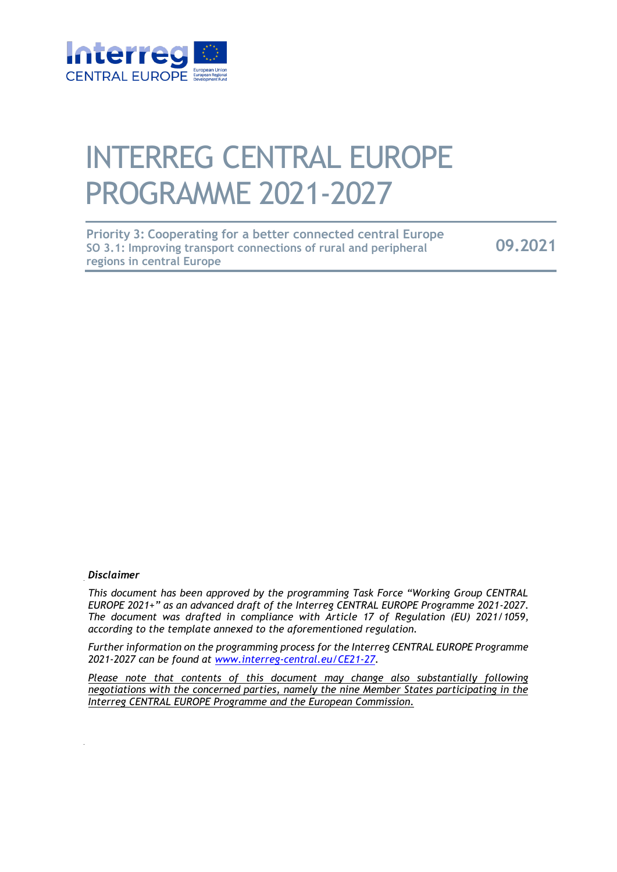

# INTERREG CENTRAL EUROPE PROGRAMME 2021-2027

| <b>Priority 3: Cooperating for a better connected central Europe</b> |         |
|----------------------------------------------------------------------|---------|
| SO 3.1: Improving transport connections of rural and peripheral      | 09.2021 |
| regions in central Europe                                            |         |

#### *Disclaimer*

*This document has been approved by the programming Task Force "Working Group CENTRAL EUROPE 2021+" as an advanced draft of the Interreg CENTRAL EUROPE Programme 2021-2027. The document was drafted in compliance with Article 17 of Regulation (EU) 2021/1059, according to the template annexed to the aforementioned regulation.* 

*Further information on the programming process for the Interreg CENTRAL EUROPE Programme 2021-2027 can be found at www.interreg-central.eu/CE21-27.* 

*Please note that contents of this document may change also substantially following negotiations with the concerned parties, namely the nine Member States participating in the Interreg CENTRAL EUROPE Programme and the European Commission.*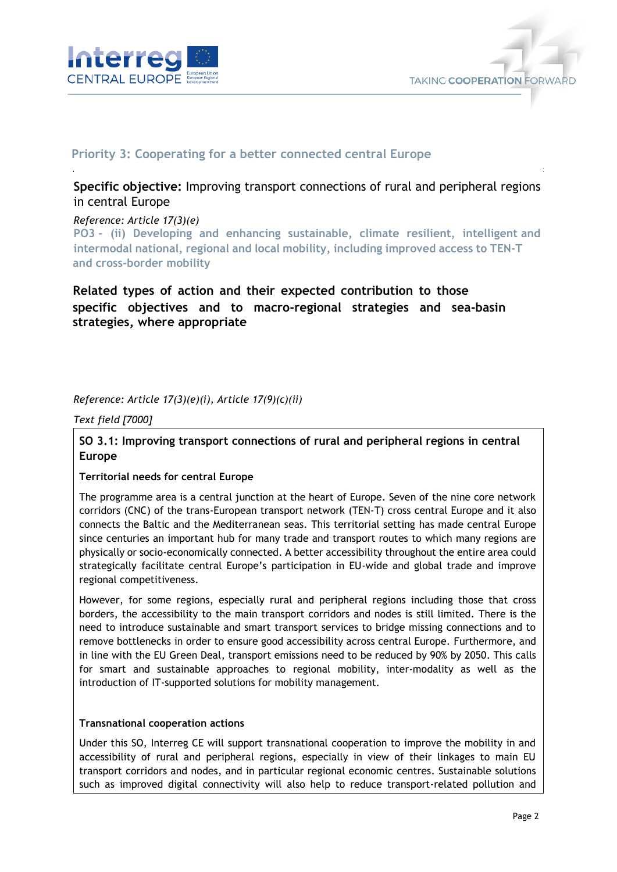



# **Priority 3: Cooperating for a better connected central Europe**

# **Specific objective:** Improving transport connections of rural and peripheral regions in central Europe

#### *Reference: Article 17(3)(e)*

**PO3 - (ii) Developing and enhancing sustainable, climate resilient, intelligent and intermodal national, regional and local mobility, including improved access to TEN-T and cross-border mobility** 

# **Related types of action and their expected contribution to those specific objectives and to macro-regional strategies and sea-basin strategies, where appropriate**

## *Reference: Article 17(3)(e)(i), Article 17(9)(c)(ii)*

*Text field [7000]*

## **SO 3.1: Improving transport connections of rural and peripheral regions in central Europe**

#### **Territorial needs for central Europe**

The programme area is a central junction at the heart of Europe. Seven of the nine core network corridors (CNC) of the trans-European transport network (TEN-T) cross central Europe and it also connects the Baltic and the Mediterranean seas. This territorial setting has made central Europe since centuries an important hub for many trade and transport routes to which many regions are physically or socio-economically connected. A better accessibility throughout the entire area could strategically facilitate central Europe's participation in EU-wide and global trade and improve regional competitiveness.

However, for some regions, especially rural and peripheral regions including those that cross borders, the accessibility to the main transport corridors and nodes is still limited. There is the need to introduce sustainable and smart transport services to bridge missing connections and to remove bottlenecks in order to ensure good accessibility across central Europe. Furthermore, and in line with the EU Green Deal, transport emissions need to be reduced by 90% by 2050. This calls for smart and sustainable approaches to regional mobility, inter-modality as well as the introduction of IT-supported solutions for mobility management.

#### **Transnational cooperation actions**

Under this SO, Interreg CE will support transnational cooperation to improve the mobility in and accessibility of rural and peripheral regions, especially in view of their linkages to main EU transport corridors and nodes, and in particular regional economic centres. Sustainable solutions such as improved digital connectivity will also help to reduce transport-related pollution and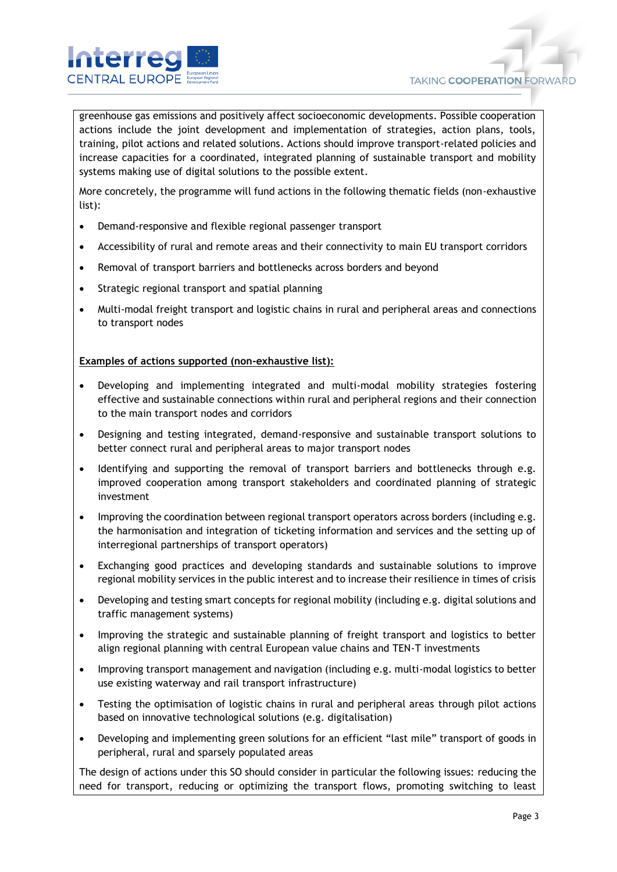

greenhouse gas emissions and positively affect socioeconomic developments. Possible cooperation actions include the joint development and implementation of strategies, action plans, tools, training, pilot actions and related solutions. Actions should improve transport-related policies and increase capacities for a coordinated, integrated planning of sustainable transport and mobility systems making use of digital solutions to the possible extent.

More concretely, the programme will fund actions in the following thematic fields (non-exhaustive list):

- Demand-responsive and flexible regional passenger transport
- Accessibility of rural and remote areas and their connectivity to main EU transport corridors
- Removal of transport barriers and bottlenecks across borders and beyond
- Strategic regional transport and spatial planning
- Multi-modal freight transport and logistic chains in rural and peripheral areas and connections to transport nodes

#### **Examples of actions supported (non-exhaustive list):**

- Developing and implementing integrated and multi-modal mobility strategies fostering effective and sustainable connections within rural and peripheral regions and their connection to the main transport nodes and corridors
- Designing and testing integrated, demand-responsive and sustainable transport solutions to better connect rural and peripheral areas to major transport nodes
- Identifying and supporting the removal of transport barriers and bottlenecks through e.g. improved cooperation among transport stakeholders and coordinated planning of strategic investment
- Improving the coordination between regional transport operators across borders (including e.g. the harmonisation and integration of ticketing information and services and the setting up of interregional partnerships of transport operators)
- Exchanging good practices and developing standards and sustainable solutions to improve regional mobility services in the public interest and to increase their resilience in times of crisis
- Developing and testing smart concepts for regional mobility (including e.g. digital solutions and traffic management systems)
- Improving the strategic and sustainable planning of freight transport and logistics to better align regional planning with central European value chains and TEN-T investments
- Improving transport management and navigation (including e.g. multi-modal logistics to better use existing waterway and rail transport infrastructure)
- Testing the optimisation of logistic chains in rural and peripheral areas through pilot actions based on innovative technological solutions (e.g. digitalisation)
- Developing and implementing green solutions for an efficient "last mile" transport of goods in peripheral, rural and sparsely populated areas

The design of actions under this SO should consider in particular the following issues: reducing the need for transport, reducing or optimizing the transport flows, promoting switching to least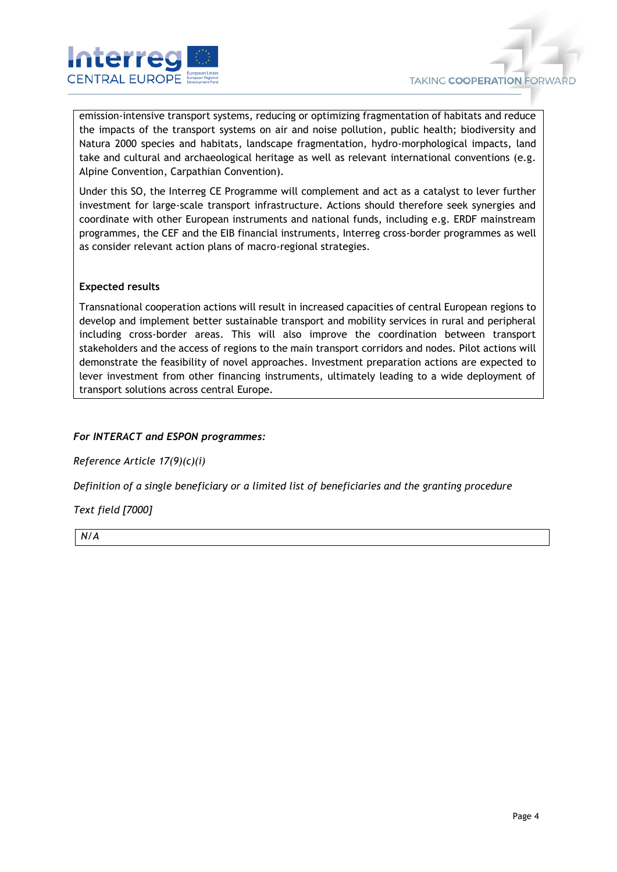

emission-intensive transport systems, reducing or optimizing fragmentation of habitats and reduce the impacts of the transport systems on air and noise pollution, public health; biodiversity and Natura 2000 species and habitats, landscape fragmentation, hydro-morphological impacts, land take and cultural and archaeological heritage as well as relevant international conventions (e.g. Alpine Convention, Carpathian Convention).

Under this SO, the Interreg CE Programme will complement and act as a catalyst to lever further investment for large-scale transport infrastructure. Actions should therefore seek synergies and coordinate with other European instruments and national funds, including e.g. ERDF mainstream programmes, the CEF and the EIB financial instruments, Interreg cross-border programmes as well as consider relevant action plans of macro-regional strategies.

#### **Expected results**

Transnational cooperation actions will result in increased capacities of central European regions to develop and implement better sustainable transport and mobility services in rural and peripheral including cross-border areas. This will also improve the coordination between transport stakeholders and the access of regions to the main transport corridors and nodes. Pilot actions will demonstrate the feasibility of novel approaches. Investment preparation actions are expected to lever investment from other financing instruments, ultimately leading to a wide deployment of transport solutions across central Europe.

## *For INTERACT and ESPON programmes:*

*Reference Article 17(9)(c)(i)*

*Definition of a single beneficiary or a limited list of beneficiaries and the granting procedure*

#### *Text field [7000]*

*N/A*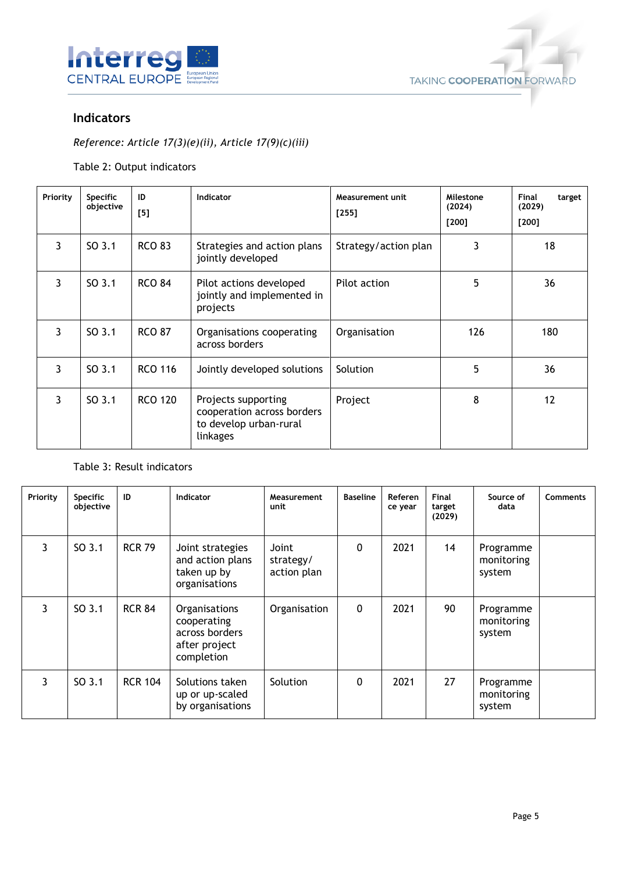



# **Indicators**

# *Reference: Article 17(3)(e)(ii), Article 17(9)(c)(iii)*

Table 2: Output indicators

| Priority | <b>Specific</b><br>objective | ID<br>[5]      | <b>Indicator</b>                                                                        | Measurement unit<br>$[255]$ | Milestone<br>(2024)<br>$[200]$ | Final<br>target<br>(2029)<br>$[200]$ |
|----------|------------------------------|----------------|-----------------------------------------------------------------------------------------|-----------------------------|--------------------------------|--------------------------------------|
| 3        | SO 3.1                       | <b>RCO 83</b>  | Strategies and action plans<br>jointly developed                                        | Strategy/action plan        | 3                              | 18                                   |
| 3        | SO 3.1                       | <b>RCO 84</b>  | Pilot actions developed<br>jointly and implemented in<br>projects                       | Pilot action                | 5                              | 36                                   |
| 3        | SO 3.1                       | <b>RCO 87</b>  | Organisations cooperating<br>across borders                                             | Organisation                | 126                            | 180                                  |
| 3        | SO 3.1                       | <b>RCO 116</b> | Jointly developed solutions                                                             | Solution                    | 5                              | 36                                   |
| 3        | SO 3.1                       | <b>RCO 120</b> | Projects supporting<br>cooperation across borders<br>to develop urban-rural<br>linkages | Project                     | 8                              | 12                                   |

## Table 3: Result indicators

| Priority | <b>Specific</b><br>objective | ID             | Indicator                                                                     | Measurement<br>unit               | <b>Baseline</b> | <b>Referen</b><br>ce year | Final<br>target<br>(2029) | Source of<br>data                 | <b>Comments</b> |
|----------|------------------------------|----------------|-------------------------------------------------------------------------------|-----------------------------------|-----------------|---------------------------|---------------------------|-----------------------------------|-----------------|
| 3        | SO <sub>3.1</sub>            | <b>RCR 79</b>  | Joint strategies<br>and action plans<br>taken up by<br>organisations          | Joint<br>strategy/<br>action plan | 0               | 2021                      | 14                        | Programme<br>monitoring<br>system |                 |
| 3        | SO <sub>3.1</sub>            | <b>RCR 84</b>  | Organisations<br>cooperating<br>across borders<br>after project<br>completion | Organisation                      | 0               | 2021                      | 90                        | Programme<br>monitoring<br>system |                 |
| 3        | SO <sub>3.1</sub>            | <b>RCR 104</b> | Solutions taken<br>up or up-scaled<br>by organisations                        | Solution                          | 0               | 2021                      | 27                        | Programme<br>monitoring<br>system |                 |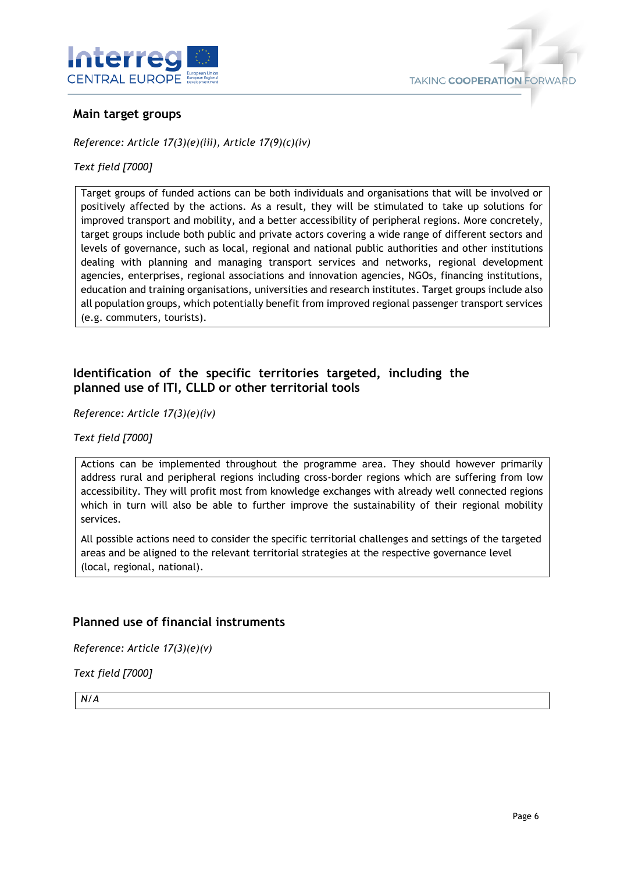



## **Main target groups**

*Reference: Article 17(3)(e)(iii), Article 17(9)(c)(iv)*

### *Text field [7000]*

Target groups of funded actions can be both individuals and organisations that will be involved or positively affected by the actions. As a result, they will be stimulated to take up solutions for improved transport and mobility, and a better accessibility of peripheral regions. More concretely, target groups include both public and private actors covering a wide range of different sectors and levels of governance, such as local, regional and national public authorities and other institutions dealing with planning and managing transport services and networks, regional development agencies, enterprises, regional associations and innovation agencies, NGOs, financing institutions, education and training organisations, universities and research institutes. Target groups include also all population groups, which potentially benefit from improved regional passenger transport services (e.g. commuters, tourists).

# **Identification of the specific territories targeted, including the planned use of ITI, CLLD or other territorial tools**

*Reference: Article 17(3)(e)(iv)*

*Text field [7000]*

Actions can be implemented throughout the programme area. They should however primarily address rural and peripheral regions including cross-border regions which are suffering from low accessibility. They will profit most from knowledge exchanges with already well connected regions which in turn will also be able to further improve the sustainability of their regional mobility services.

All possible actions need to consider the specific territorial challenges and settings of the targeted areas and be aligned to the relevant territorial strategies at the respective governance level (local, regional, national).

## **Planned use of financial instruments**

*Reference: Article 17(3)(e)(v)*

*Text field [7000]*

*N/A*